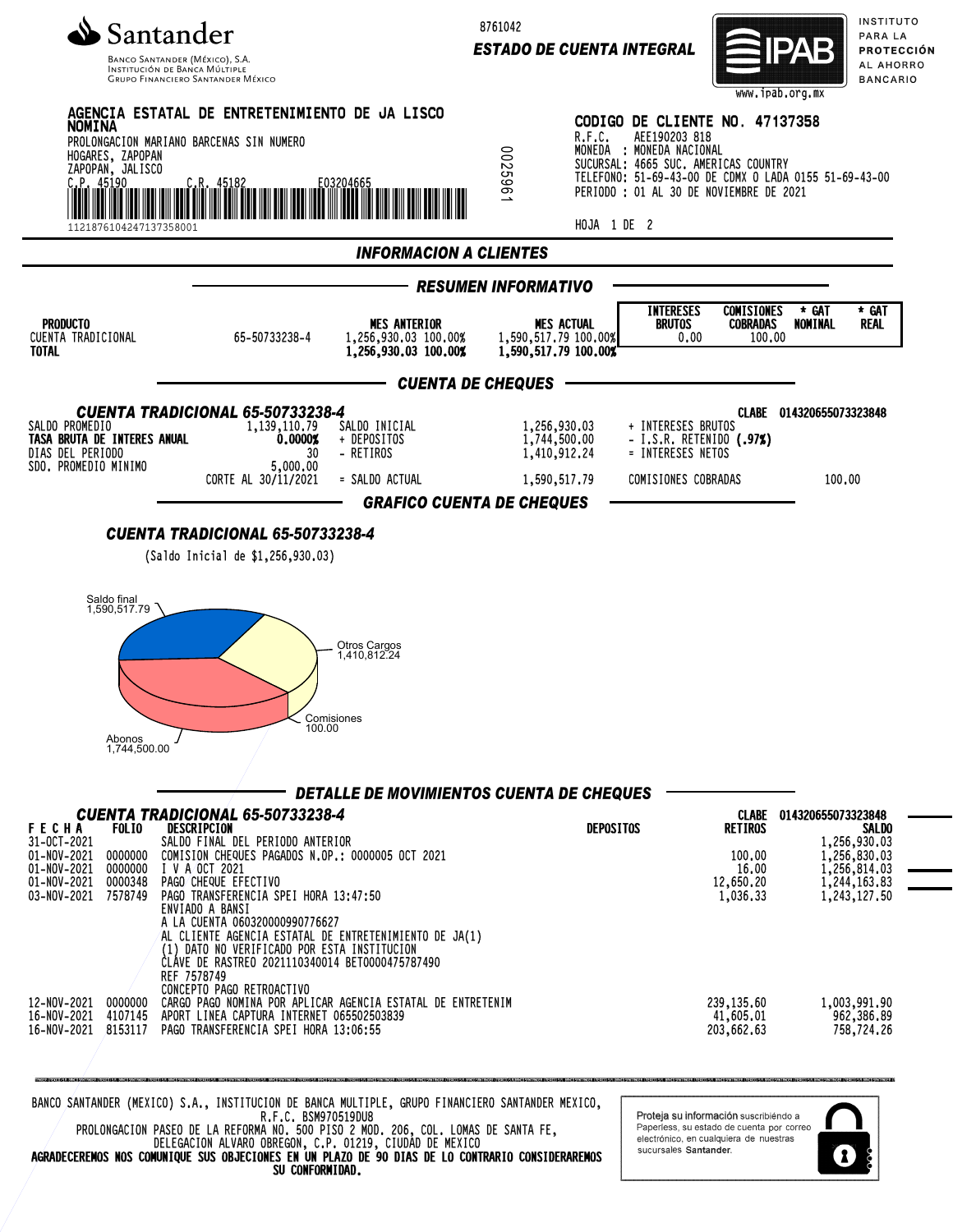

INSTITUCIÓN DE BANCA MÚLTIP **GRUPO FINANCIERO SANTANDER MÉXICO**  8761042

*ESTADO DE CUENTA INTEGRAL*



INSTITUTO PARA LA PROTECCIÓN AL AHORRO **BANCARIO** 



SU CONFORMIDAD.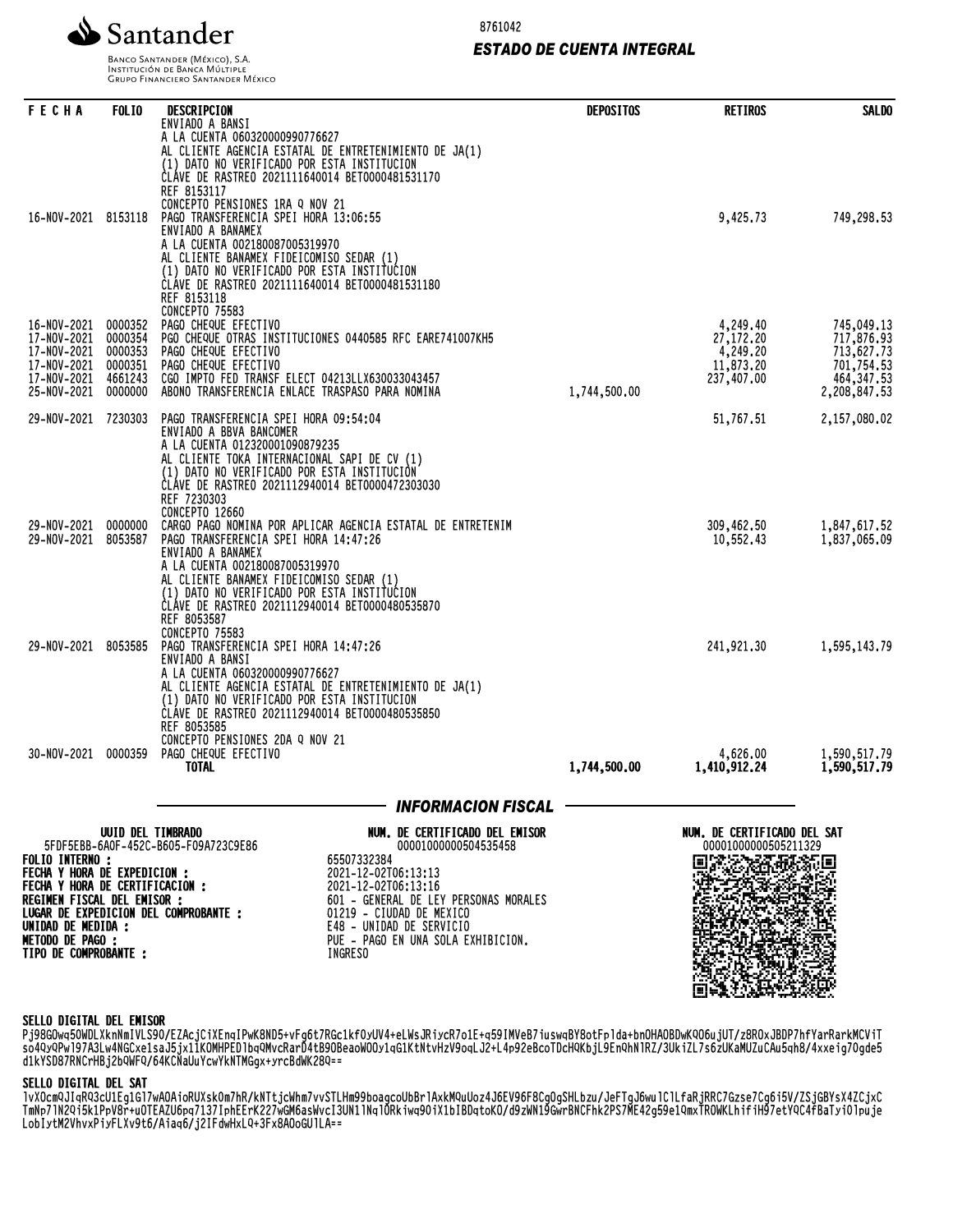

8761042

### *ESTADO DE CUENTA INTEGRAL*

BANCO SANTANDER (MÉXICO), S.A. INSTITUCIÓN DE BANCA MÚLTIPLE<br>INSTITUCIÓN DE BANCA MÚLTIPLE<br>GRUPO FINANCIERO SANTANDER MÉXICO

| <b>FECHA</b>                                                                           | <b>FOLIO</b>                                                   | DESCRIPCION                                                                                                                                                                                                                                                                                                                                                                                                                                             | <b>DEPOSITOS</b> | <b>RETIROS</b>                                               | <b>SALDO</b>                                                                        |
|----------------------------------------------------------------------------------------|----------------------------------------------------------------|---------------------------------------------------------------------------------------------------------------------------------------------------------------------------------------------------------------------------------------------------------------------------------------------------------------------------------------------------------------------------------------------------------------------------------------------------------|------------------|--------------------------------------------------------------|-------------------------------------------------------------------------------------|
| 16-NOV-2021 8153118                                                                    |                                                                | ENVIADO A BANSI<br>A LA CUENTA 060320000990776627<br>AL CLIENTE AGENCIA ESTATAL DE ENTRETENIMIENTO DE JA(1)<br>(1) DATO NO VERIFICADO POR ESTA INSTITUCION<br>CLAVE DE RASTREO 2021111640014 BET0000481531170<br>REF 8153117<br>CONCEPTO PENSIONES 1RA Q NOV 21<br>PAGO TRANSFERENCIA SPEI HORA 13:06:55<br>ENVIADO A BANAMEX                                                                                                                           |                  | 9,425.73                                                     | 749,298.53                                                                          |
| 16-NOV-2021<br>17-NOV-2021<br>17-NOV-2021<br>17-NOV-2021<br>17-NOV-2021<br>25-NOV-2021 | 0000352<br>0000354<br>0000353<br>0000351<br>4661243<br>0000000 | A LA CUENTA 002180087005319970<br>AL CLIENTE BANAMEX FIDEICOMISO SEDAR (1)<br>(1) DATO NO VERIFICADO POR ESTA INSTITUCION<br>ČLÁVE DE RASTREO 2021111640014 BET0000481531180<br>REF 8153118<br>CONCEPTO 75583<br>PAGO CHEQUE EFECTIVO<br>PGO CHEQUE OTRAS INSTITUCIONES 0440585 RFC EARE741007KH5<br>PAGO CHEQUE EFECTIVO<br>PAGO CHEQUE EFECTIVO<br>CGO IMPTO FED TRANSF ELECT 04213LLX630033043457<br>ABONO TRANSFERENCIA ENLACE TRASPASO PARA NOMINA | 1,744,500.00     | 4,249.40<br>27,172.20<br>4,249.20<br>11,873.20<br>237,407.00 | 745,049.13<br>717,876.93<br>713,627.73<br>701,754.53<br>464, 347.53<br>2,208,847.53 |
| 29-NOV-2021 7230303                                                                    |                                                                | PAGO TRANSFERENCIA SPEI HORA 09:54:04                                                                                                                                                                                                                                                                                                                                                                                                                   |                  | 51,767.51                                                    | 2,157,080.02                                                                        |
| 29-NOV-2021<br>29-NOV-2021                                                             | 0000000<br>8053587                                             | ENVIADO A BBVA BANCOMER<br>A LA CUENTA 012320001090879235<br>AL CLIENTE TOKA INTERNACIONAL SAPI DE CV (1)<br>(1) DATO NO VERIFICADO POR ESTA INSTITUCIÓN<br>ČLÁVE DE RASTREO 2021112940014 BET0000472303030<br>REF 7230303<br>CONCEPTO 12660<br>CARGO PAGO NOMINA POR APLICAR AGENCIA ESTATAL DE ENTRETENIM<br>PAGO TRANSFERENCIA SPEI HORA 14:47:26<br>ENVIADO A BANAMEX<br>A LA CUENTA 002180087005319970                                             |                  | 309,462.50<br>10,552.43                                      | 1,847,617.52<br>1,837,065.09                                                        |
| 29-NOV-2021 8053585                                                                    |                                                                | AL CLIENTE BANAMEX FIDEICOMISO SEDAR (1)<br>(1) DATO NO VERIFICADO POR ESTA INSTITUCION<br>CLÁVE DE RASTREO 2021112940014 BET0000480535870<br>REF 8053587<br>CONCEPTO 75583<br>PAGO TRANSFERENCIA SPEI HORA 14:47:26<br>ENVIADO A BANSI<br>A LA CUENTA 060320000990776627<br>AL CLIENTE AGENCIA ESTATAL DE ENTRETENIMIENTO DE JA(1)<br>(1) DATO NO VERIFICADO POR ESTA INSTITUCION<br>CLAVE DE RASTREO 2021112940014 BET0000480535850                   |                  | 241,921.30                                                   | 1,595,143.79                                                                        |
|                                                                                        |                                                                | REF 8053585<br>CONCEPTO PENSIONES 2DA Q NOV 21                                                                                                                                                                                                                                                                                                                                                                                                          |                  |                                                              |                                                                                     |
| 30-NOV-2021                                                                            | 0000359                                                        | PAGO CHEQUE EFECTIVO<br><b>TOTAL</b>                                                                                                                                                                                                                                                                                                                                                                                                                    | 1,744,500.00     | 4,626.00<br>1,410,912.24                                     | 1,590,517.79<br>1,590,517.79                                                        |
|                                                                                        |                                                                | — INFORMACION FISCAL                                                                                                                                                                                                                                                                                                                                                                                                                                    |                  |                                                              |                                                                                     |
|                                                                                        | UUID DEL TIMBRADO                                              | NUM. DE CERTIFICADO DEL EMISOR<br>5FDF5EBB-6A0F-452C-B605-F09A723C9E86<br>00001000000504535458                                                                                                                                                                                                                                                                                                                                                          |                  | NUM. DE CERTIFICADO DEL SAT<br>00001000000505211329          |                                                                                     |
| <b>FOLIO INTERNO:</b><br>FECHA Y HORA DE EXPEDICION :                                  |                                                                | 65507332384<br>2021-12-02T06:13:13                                                                                                                                                                                                                                                                                                                                                                                                                      |                  |                                                              |                                                                                     |
| FECHA Y HORA DE CERTIFICACION :<br>REGIMEN FISCAL DEL EMISOR :                         |                                                                | 2021-12-02T06:13:16<br>601 - GENERAL DE LEY PERSONAS MORALES                                                                                                                                                                                                                                                                                                                                                                                            |                  |                                                              |                                                                                     |
| UNIDAD DE MEDIDA :<br><b>METODO DE PAGO:</b>                                           |                                                                | LUGAR DE EXPEDICION DEL COMPROBANTE :<br>01219 - CIUDAD DE MEXICO<br>E48 - UNIDAD DE SERVICIO<br>PUE - PAGO EN UNA SOLA EXHIBICION.                                                                                                                                                                                                                                                                                                                     |                  |                                                              |                                                                                     |
| TIPO DE COMPROBANTE :                                                                  |                                                                | INGRESO                                                                                                                                                                                                                                                                                                                                                                                                                                                 |                  |                                                              |                                                                                     |

#### SELLO DIGITAL DEL EMISOR

Pj98GOwq50WDLXknNmIVLS90/EZAcjCiXEnqIPwK8ND5+vFg6t7RGc1kf0yUV4+eLWsJRiycR7o1E+q59IMVeB7iuswqBY8otFplda+bnOHAOBDwKQO6ujUT/z8ROxJBDP7hfYarRarkMCViT so4QyQPwl97A3Lw4NGCxe1saJ5jx11KOMHPEDlbqQMvcRarD4tB9OBeaoWOOy1qG1KtNtvHzV9oqLJ2+L4p92eBcoTDcHQKbjL9EnQhNlRZ/3UkiZL7s6zUKaMUZuCAu5qh8/4xxeig70gde5 d1kYSD87RNCrHBj2bQWFQ/64KCNaUuYcwYkNTMGgx+yrcBdWK28Q==

#### SELLO DIGITAL DEL SAT

lvXOcmQJIqRQ3cU1Eg1Gl7wAOAioRUXsk0m7hR/kNTtjcWhm7vvSTLHm99boagcoUbBrlAxkMQuUoz4J6EV96F8CgOgSHLbzu/JeFTgJ6wulClLfaRjRRC7Gzse7Cg6i5V/ZSjGBYsX4ZCjxC TMNP7INZYI3K1PpV8r+uOTEAZU0Pq7137IphEErKZZ7WGM0aSWVCI3UN1INqlURKiWq90iX1DIBDqtoKU/d9ZWN19GWrBNCFNKZFS7ME4Zg39e1YMXIRUWKLNITIM97etYYC4TBaTyi0lpuje LobIytM2VhvxPiyFLXv9t6/Aiaq6/j2IFdwHxLQ+3Fx8AOoGUlLA==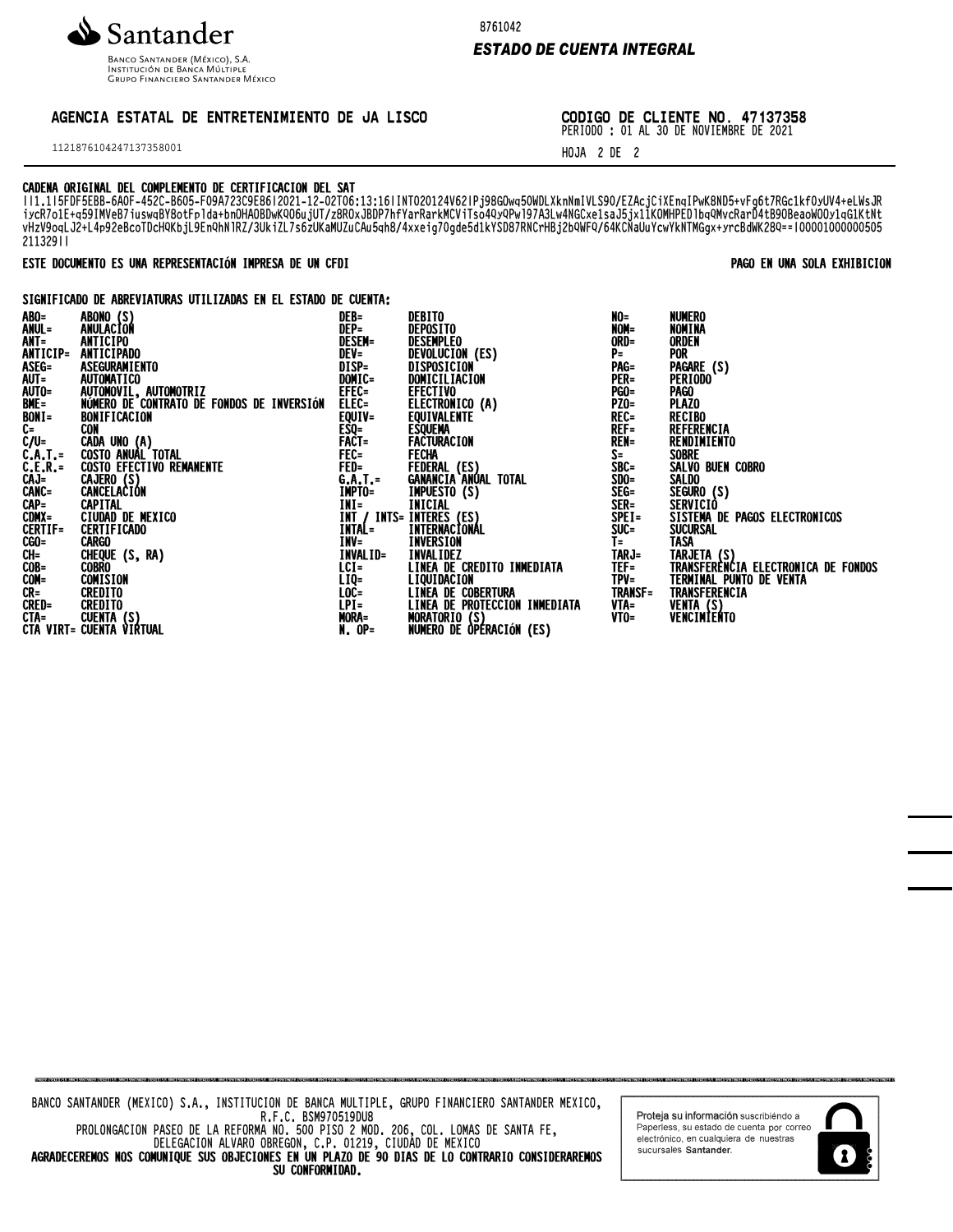

INSTITUCIÓN DE BANCA MÚLTIPLE **GRUPO FINANCIERO SANTANDER MÉXICO**  8761042

## **ESTADO DE CUENTA INTEGRAL**

# AGENCIA ESTATAL DE ENTRETENIMIENTO DE JA LISCO

1121876104247137358001

CODIGO DE CLIENTE NO. 47137358

PERIODO : 01 AL 30 DE NOVIEMBRE DE 2021

PAGO EN UNA SOLA EXHIBICION

HOJA 2 DE 2

## CADENA ORIGINAL DEL COMPLEMENTO DE CERTIFICACION DEL SAT

WILLIISTER EARLY HARD LOCAL THE WARD WAS UNLOCALLY TO A MARKET THE UNLOCALLY INTERFERING AND SUPPOSE THE UNLOCALLY THAT IS THE UNLOCALLY INTERFERING AND SUPPOSE THE UNLOCALLY INTERFERING A SUPPOSE THAT INTERFERING A SUPPOS 21132911

## ESTE DOCUMENTO ES UNA REPRESENTACIÓN IMPRESA DE UN CFDI

SIGNIFICADO DE ABREVIATURAS UTILIZADAS EN EL ESTADO DE CUENTA:

| ABONO (S)<br>ANULACION<br>ANUL=<br>NOM=<br>DEP=<br>DEPOSITO<br>NOMINA<br>$ANT =$<br>ORD=<br>ANTICIPO<br><b>DESEM=</b><br><b>DESEMPLEO</b><br><b>ORDEN</b><br>ANTICIP=<br>DEVOLUCION (ES)<br>DISPOSICION<br><b>ANTICIPADO</b><br>DEV=<br>$P =$<br><b>POR</b><br>ASEG=<br>ASEG=<br>AUTO=<br>AUTO=<br>BONT=<br>C=<br>DĪŠP=<br>Domic=<br>PAG=<br>PAGARE (S)<br>ASEGURAMIENTO<br><b>AUTOMATICO</b><br>PER=<br>DOMICILIACION<br><b>PERIODO</b> |  |
|------------------------------------------------------------------------------------------------------------------------------------------------------------------------------------------------------------------------------------------------------------------------------------------------------------------------------------------------------------------------------------------------------------------------------------------|--|
|                                                                                                                                                                                                                                                                                                                                                                                                                                          |  |
|                                                                                                                                                                                                                                                                                                                                                                                                                                          |  |
|                                                                                                                                                                                                                                                                                                                                                                                                                                          |  |
|                                                                                                                                                                                                                                                                                                                                                                                                                                          |  |
|                                                                                                                                                                                                                                                                                                                                                                                                                                          |  |
| EFEC=<br><b>EFECTIVO</b><br>AUTOMOVIL, AUTOMOTRIZ<br><b>PGO=</b><br>Pago                                                                                                                                                                                                                                                                                                                                                                 |  |
| ELEC=<br>EQUIV=<br>ELECTRONICO (A)<br>PZO=<br>REC=<br>REF=<br>NÚMERO DE CONTRATO DE FONDOS DE INVERSIÓN<br><b>PLAZO</b>                                                                                                                                                                                                                                                                                                                  |  |
| <b>RECIBO</b><br><b>EQUIVALENTE</b><br>BONIFICACION                                                                                                                                                                                                                                                                                                                                                                                      |  |
| REFERENCIA<br><b>CON</b><br><b>ESQUEMA</b>                                                                                                                                                                                                                                                                                                                                                                                               |  |
| <b>ESQ=<br/>FACT=<br/>FACT=<br/>FEC=<br/>G.A.T.=</b><br>C/U=<br>C.A.T.=<br>C.E.R.=<br>CAJ=<br>CANC=<br>FACTURACION<br>FACTURACION<br><b>REN=</b><br>RENDIMIENTO                                                                                                                                                                                                                                                                          |  |
| CADA UNO (A)<br>COSTO ANUAL TOTAL<br>COSTO EFECTIVO REMANENTE<br>$\overline{\mathsf{S}^+}$<br><b>SOBRE</b>                                                                                                                                                                                                                                                                                                                               |  |
| SALVO BUEN COBRO                                                                                                                                                                                                                                                                                                                                                                                                                         |  |
| FEDERAL (ES)<br>GANANCIA ANUAL TOTAL<br>SBC=<br>SDO=<br>SEG=<br><b>SALDO</b>                                                                                                                                                                                                                                                                                                                                                             |  |
| CAJERO (S)<br>CANCELACIÓN<br>IMPTO=                                                                                                                                                                                                                                                                                                                                                                                                      |  |
| <b>IMPUESTO (S)</b><br>SEGURO (S)                                                                                                                                                                                                                                                                                                                                                                                                        |  |
| SER=<br>INI=<br>CAPITAL<br>SERVICIÓ                                                                                                                                                                                                                                                                                                                                                                                                      |  |
| CAP=<br>CDMX=<br>CERTIF=<br>INICIAL<br>INTS= INTERES (ES)<br>= INTERNACIONAL<br>CIUDAD DE MEXICO<br>ĪNĪ<br>$SPEI =$<br>SISTEMA DE PAGOS ELECTRONICOS                                                                                                                                                                                                                                                                                     |  |
| <b>INTAL=</b><br>$SUC =$<br>SUCURSAL<br><b>CERTIFICADO</b>                                                                                                                                                                                                                                                                                                                                                                               |  |
| $\overline{I}$ =<br><b>INV=</b><br><b>TASA</b><br>CGO=<br>INVERSION<br><b>CARGO</b>                                                                                                                                                                                                                                                                                                                                                      |  |
| CH=<br>COB=<br>INVALID=<br>CHEQUE (S, RA)<br>INVALIDEZ<br>LINEA DE CREDITO INMEDIATA<br>TARJ=<br>TEF=<br>TARJETA (S)<br>TRANSFERENCIA ELECTRONICA DE FONDOS                                                                                                                                                                                                                                                                              |  |
| $ICI =$<br><b>COBRO</b>                                                                                                                                                                                                                                                                                                                                                                                                                  |  |
| LIQ=<br>LOC=<br>TERMINAL PUNTO DE VENTA<br>COM=<br>COMISION<br>TPV=                                                                                                                                                                                                                                                                                                                                                                      |  |
| <b>TRANSFERENCIA</b><br>$CR =$<br><b>TRANSF=</b><br><b>CREDITO</b>                                                                                                                                                                                                                                                                                                                                                                       |  |
| <b>CRED=</b><br><b>CREDITO</b><br>VTA=                                                                                                                                                                                                                                                                                                                                                                                                   |  |
| <b>LIQUIDACIÓN<br/>LINEA DE COBERTURA<br/>LINEA DE PROTECCIÓN INMEDIATA<br/>MORATORIO (S)<br/>MORATORIO (S)</b><br>VENTA (S)<br>VENCIMIENTO<br>$V$ TO=                                                                                                                                                                                                                                                                                   |  |
| LPI=<br>MORA=<br>N. OP=<br>CTA= CUENTA (S)<br>CTA VIRT= CUENTA VIRTUAL<br>NUMERO DE ÒPÉRACIÓN (ES)                                                                                                                                                                                                                                                                                                                                       |  |

Proteja su información suscribiéndo a Paperless, su estado de cuenta por correo<br>electrónico, en cualquiera de nuestras sucursales Santander.